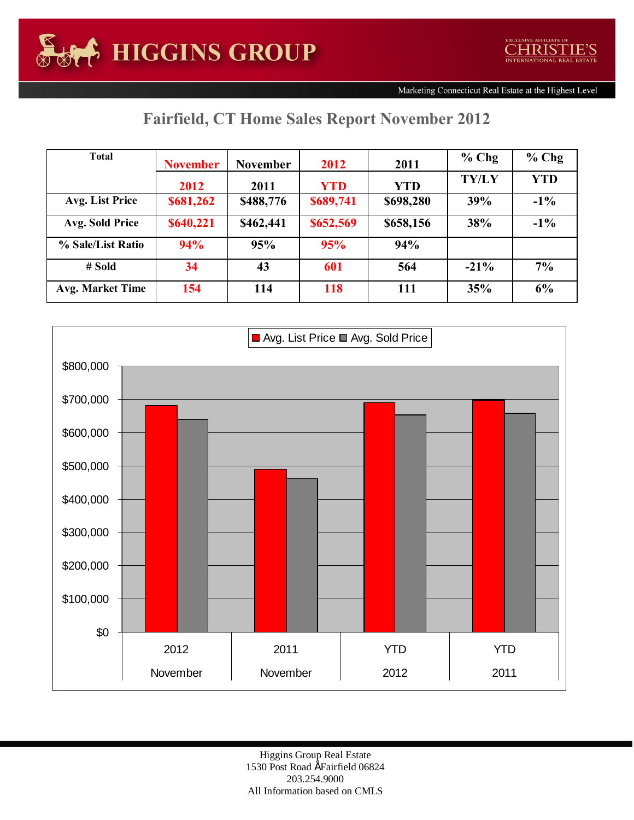## **Fairfield, CT Home Sales Report November 2012**

| <b>Total</b>            | <b>November</b> | <b>November</b> | 2012       | 2011       | $%$ Chg      | $%$ Chg    |
|-------------------------|-----------------|-----------------|------------|------------|--------------|------------|
|                         | 2012            | 2011            | <b>YTD</b> | <b>YTD</b> | <b>TY/LY</b> | <b>YTD</b> |
| Avg. List Price         | \$681,262       | \$488,776       | \$689,741  | \$698,280  | 39%          | $-1\%$     |
| Avg. Sold Price         | \$640,221       | \$462,441       | \$652,569  | \$658,156  | 38%          | $-1\%$     |
| % Sale/List Ratio       | 94%             | 95%             | 95%        | 94%        |              |            |
| $#$ Sold                | 34              | 43              | 601        | 564        | $-21\%$      | 7%         |
| <b>Avg. Market Time</b> | 154             | 114             | 118        | 111        | 35%          | 6%         |